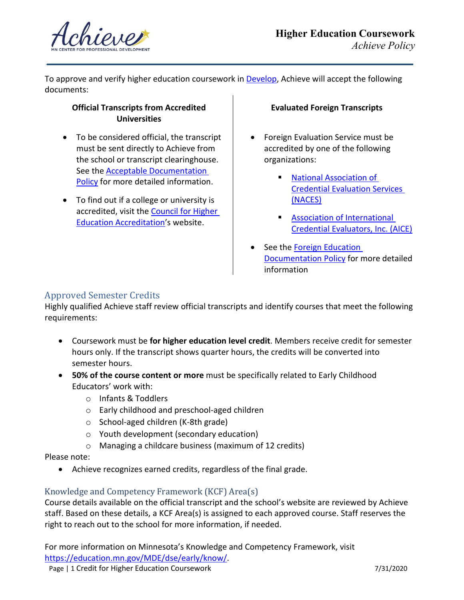

To approve and verify higher education coursework in **Develop**, Achieve will accept the following documents:

### **Official Transcripts from Accredited Universities**

- To be considered official, the transcript must be sent directly to Achieve from the school or transcript clearinghouse. See the [Acceptable Documentation](https://www.mncpd.org/wp-content/uploads/2018/02/Acceptable_Documentation_Policy.pdf) [Policy](https://www.mncpd.org/wp-content/uploads/2018/02/Acceptable_Documentation_Policy.pdf) for more detailed information.
- To find out if a college or university is accredited, visit the **Council for Higher** [Education Accreditation'](http://www.chea.org/)s website.

### **Evaluated Foreign Transcripts**

- Foreign Evaluation Service must be accredited by one of the following organizations:
	- [National Association of](https://www.naces.org/) [Credential Evaluation Services](https://www.naces.org/) [\(NACES\)](https://www.naces.org/)
	- **[Association of International](https://aice-eval.org/)** [Credential Evaluators, Inc. \(AICE\)](https://aice-eval.org/)
- See the [Foreign Education](https://mncpd.org/wp-content/uploads/2016/12/Foreign_Education_Documentation.pdf) **[Documentation Policy](https://mncpd.org/wp-content/uploads/2016/12/Foreign_Education_Documentation.pdf) for more detailed** information

# Approved Semester Credits

Highly qualified Achieve staff review official transcripts and identify courses that meet the following requirements:

- Coursework must be **for higher education level credit**. Members receive credit for semester hours only. If the transcript shows quarter hours, the credits will be converted into semester hours.
- **50% of the course content or more** must be specifically related to Early Childhood Educators' work with:
	- o Infants & Toddlers
	- o Early childhood and preschool-aged children
	- o School-aged children (K-8th grade)
	- o Youth development (secondary education)
	- o Managing a childcare business (maximum of 12 credits)

#### Please note:

• Achieve recognizes earned credits, regardless of the final grade.

# Knowledge and Competency Framework (KCF) Area(s)

Course details available on the official transcript and the school's website are reviewed by Achieve staff. Based on these details, a KCF Area(s) is assigned to each approved course. Staff reserves the right to reach out to the school for more information, if needed.

For more information on Minnesota's Knowledge and Competency Framework, visit [https://education.mn.gov/MDE/dse/early/know/.](https://education.mn.gov/MDE/dse/early/know/)

Page | 1 Credit for Higher Education Coursework 7/31/2020